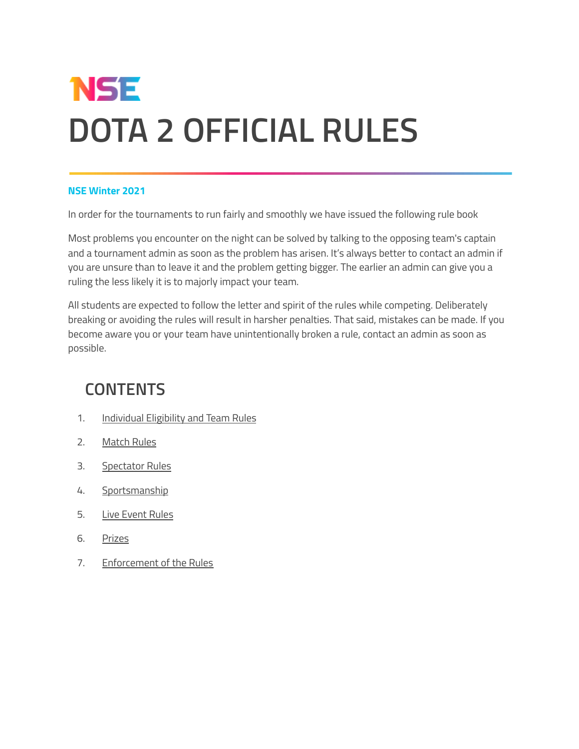# **NSE DOTA 2 OFFICIAL RULES**

#### **NSE Winter 2021**

In order for the tournaments to run fairly and smoothly we have issued the following rule book

Most problems you encounter on the night can be solved by talking to the opposing team's captain and a tournament admin as soon as the problem has arisen. It's always better to contact an admin if you are unsure than to leave it and the problem getting bigger. The earlier an admin can give you a ruling the less likely it is to majorly impact your team.

All students are expected to follow the letter and spirit of the rules while competing. Deliberately breaking or avoiding the rules will result in harsher penalties. That said, mistakes can be made. If you become aware you or your team have unintentionally broken a rule, contact an admin as soon as possible.

## **CONTENTS**

- 1. [Individual](#page-1-0) Eligibility and Team Rules
- 2. [Match](#page-3-0) Rules
- 3. [Spectator](#page-4-0) Rules
- 4. [Sportsmanship](#page-5-0)
- 5. Live [Event](#page-6-0) Rules
- 6. [Prizes](#page-6-1)
- 7. [Enforcement](#page-6-2) of the Rules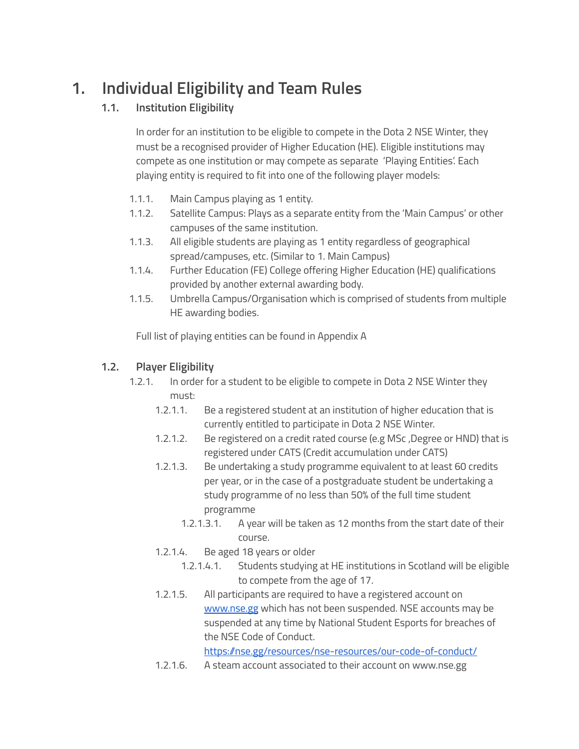# <span id="page-1-0"></span>**1. Individual Eligibility and Team Rules**

## **1.1. Institution Eligibility**

In order for an institution to be eligible to compete in the Dota 2 NSE Winter, they must be a recognised provider of Higher Education (HE). Eligible institutions may compete as one institution or may compete as separate 'Playing Entities'. Each playing entity is required to fit into one of the following player models:

- 1.1.1. Main Campus playing as 1 entity.
- 1.1.2. Satellite Campus: Plays as a separate entity from the 'Main Campus' or other campuses of the same institution.
- 1.1.3. All eligible students are playing as 1 entity regardless of geographical spread/campuses, etc. (Similar to 1. Main Campus)
- 1.1.4. Further Education (FE) College offering Higher Education (HE) qualifications provided by another external awarding body.
- 1.1.5. Umbrella Campus/Organisation which is comprised of students from multiple HE awarding bodies.

Full list of playing entities can be found in Appendix A

#### **1.2. Player Eligibility**

- 1.2.1. In order for a student to be eligible to compete in Dota 2 NSE Winter they must:
	- 1.2.1.1. Be a registered student at an institution of higher education that is currently entitled to participate in Dota 2 NSE Winter.
	- 1.2.1.2. Be registered on a credit rated course (e.g MSc, Degree or HND) that is registered under CATS (Credit accumulation under CATS)
	- 1.2.1.3. Be undertaking a study programme equivalent to at least 60 credits per year, or in the case of a postgraduate student be undertaking a study programme of no less than 50% of the full time student programme
		- 1.2.1.3.1. A year will be taken as 12 months from the start date of their course.
	- 1.2.1.4. Be aged 18 years or older
		- 1.2.1.4.1. Students studying at HE institutions in Scotland will be eligible to compete from the age of 17.
	- 1.2.1.5. All participants are required to have a registered account on [www.nse.gg](http://www.nse.gg) which has not been suspended. NSE accounts may be suspended at any time by National Student Esports for breaches of the NSE Code of Conduct.

https://nse.gg/resources/nse-resources/our-code-of-conduct/

1.2.1.6. A steam account associated to their account on www.nse.gg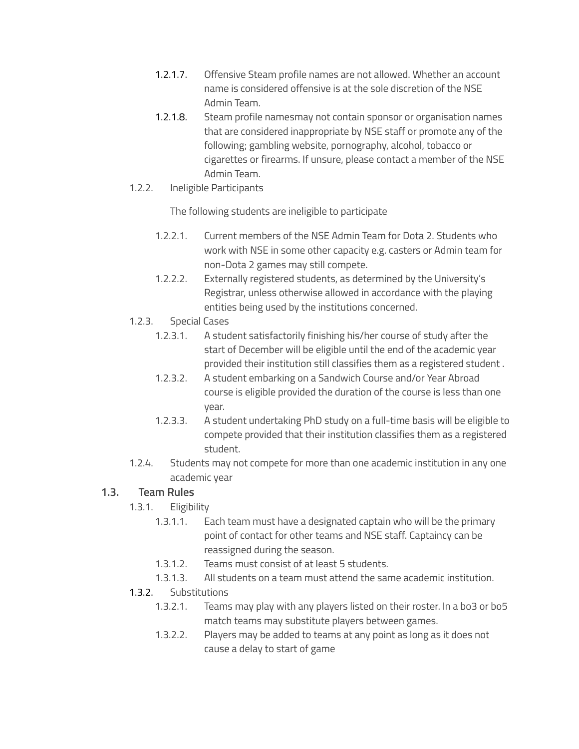- 1.2.1.7. Offensive Steam profile names are not allowed. Whether an account name is considered offensive is at the sole discretion of the NSE Admin Team.
- 1.2.1.8. Steam profile namesmay not contain sponsor or organisation names that are considered inappropriate by NSE staff or promote any of the following; gambling website, pornography, alcohol, tobacco or cigarettes or firearms. If unsure, please contact a member of the NSE Admin Team.
- 1.2.2. Ineligible Participants

The following students are ineligible to participate

- 1.2.2.1. Current members of the NSE Admin Team for Dota 2. Students who work with NSE in some other capacity e.g. casters or Admin team for non-Dota 2 games may still compete.
- 1.2.2.2. Externally registered students, as determined by the University's Registrar, unless otherwise allowed in accordance with the playing entities being used by the institutions concerned.
- 1.2.3. Special Cases
	- 1.2.3.1. A student satisfactorily finishing his/her course of study after the start of December will be eligible until the end of the academic year provided their institution still classifies them as a registered student .
	- 1.2.3.2. A student embarking on a Sandwich Course and/or Year Abroad course is eligible provided the duration of the course is less than one year.
	- 1.2.3.3. A student undertaking PhD study on a full-time basis will be eligible to compete provided that their institution classifies them as a registered student.
- 1.2.4. Students may not compete for more than one academic institution in any one academic year

#### **1.3. Team Rules**

- 1.3.1. Eligibility
	- 1.3.1.1. Each team must have a designated captain who will be the primary point of contact for other teams and NSE staff. Captaincy can be reassigned during the season.
	- 1.3.1.2. Teams must consist of at least 5 students.
	- 1.3.1.3. All students on a team must attend the same academic institution.
- 1.3.2. Substitutions
	- 1.3.2.1. Teams may play with any players listed on their roster. In a bo3 or bo5 match teams may substitute players between games.
	- 1.3.2.2. Players may be added to teams at any point as long as it does not cause a delay to start of game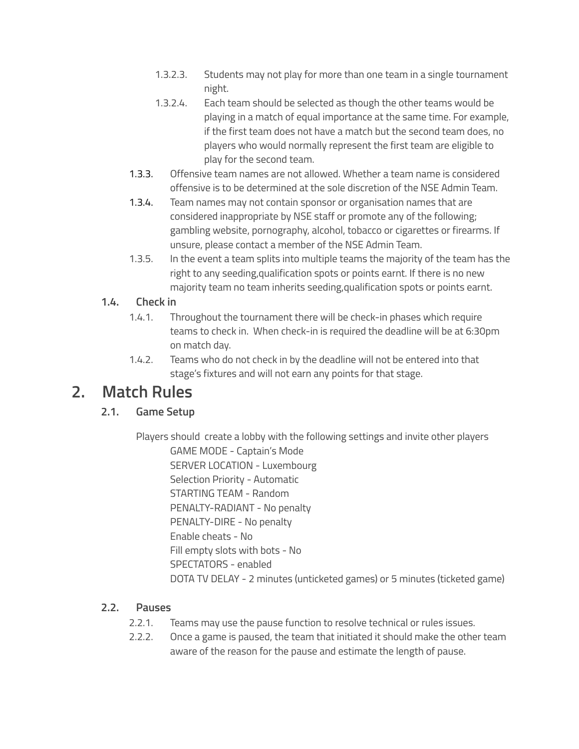- 1.3.2.3. Students may not play for more than one team in a single tournament night.
- 1.3.2.4. Each team should be selected as though the other teams would be playing in a match of equal importance at the same time. For example, if the first team does not have a match but the second team does, no players who would normally represent the first team are eligible to play for the second team.
- 1.3.3. Offensive team names are not allowed. Whether a team name is considered offensive is to be determined at the sole discretion of the NSE Admin Team.
- 1.3.4. Team names may not contain sponsor or organisation names that are considered inappropriate by NSE staff or promote any of the following; gambling website, pornography, alcohol, tobacco or cigarettes or firearms. If unsure, please contact a member of the NSE Admin Team.
- 1.3.5. In the event a team splits into multiple teams the majority of the team has the right to any seeding,qualification spots or points earnt. If there is no new majority team no team inherits seeding,qualification spots or points earnt.

#### **1.4. Check in**

- 1.4.1. Throughout the tournament there will be check-in phases which require teams to check in. When check-in is required the deadline will be at 6:30pm on match day.
- 1.4.2. Teams who do not check in by the deadline will not be entered into that stage's fixtures and will not earn any points for that stage.

## <span id="page-3-0"></span>**2. Match Rules**

## **2.1. Game Setup**

Players should create a lobby with the following settings and invite other players GAME MODE - Captain's Mode SERVER LOCATION - Luxembourg Selection Priority - Automatic STARTING TEAM - Random PENALTY-RADIANT - No penalty PENALTY-DIRE - No penalty Enable cheats - No Fill empty slots with bots - No SPECTATORS - enabled DOTA TV DELAY - 2 minutes (unticketed games) or 5 minutes (ticketed game)

## **2.2. Pauses**

- 2.2.1. Teams may use the pause function to resolve technical or rules issues.
- 2.2.2. Once a game is paused, the team that initiated it should make the other team aware of the reason for the pause and estimate the length of pause.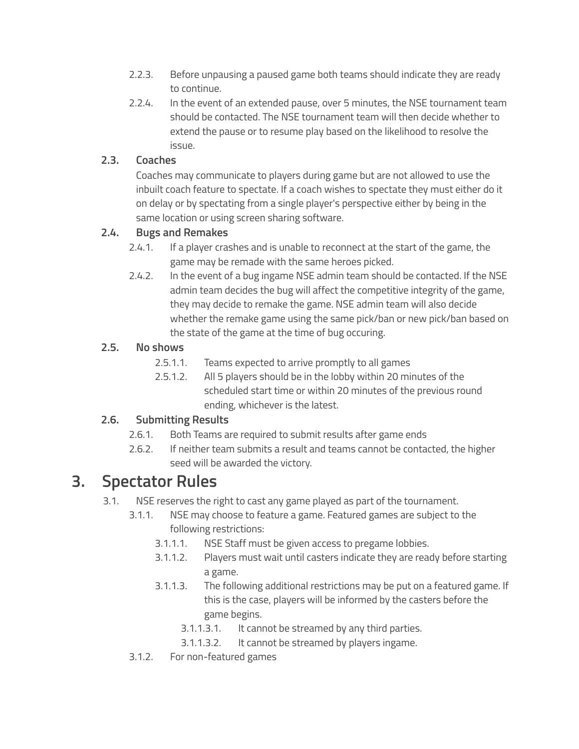- 2.2.3. Before unpausing a paused game both teams should indicate they are ready to continue.
- 2.2.4. In the event of an extended pause, over 5 minutes, the NSE tournament team should be contacted. The NSE tournament team will then decide whether to extend the pause or to resume play based on the likelihood to resolve the issue.

#### **2.3. Coaches**

Coaches may communicate to players during game but are not allowed to use the inbuilt coach feature to spectate. If a coach wishes to spectate they must either do it on delay or by spectating from a single player's perspective either by being in the same location or using screen sharing software.

#### **2.4. Bugs and Remakes**

- 2.4.1. If a player crashes and is unable to reconnect at the start of the game, the game may be remade with the same heroes picked.
- 2.4.2. In the event of a bug ingame NSE admin team should be contacted. If the NSE admin team decides the bug will affect the competitive integrity of the game, they may decide to remake the game. NSE admin team will also decide whether the remake game using the same pick/ban or new pick/ban based on the state of the game at the time of bug occuring.

### **2.5. No shows**

- 2.5.1.1. Teams expected to arrive promptly to all games
- 2.5.1.2. All 5 players should be in the lobby within 20 minutes of the scheduled start time or within 20 minutes of the previous round ending, whichever is the latest.

## **2.6. Submitting Results**

- 2.6.1. Both Teams are required to submit results after game ends
- 2.6.2. If neither team submits a result and teams cannot be contacted, the higher seed will be awarded the victory.

## <span id="page-4-0"></span>**3. Spectator Rules**

- 3.1. NSE reserves the right to cast any game played as part of the tournament.
	- 3.1.1. NSE may choose to feature a game. Featured games are subject to the following restrictions:
		- 3.1.1.1. NSE Staff must be given access to pregame lobbies.
		- 3.1.1.2. Players must wait until casters indicate they are ready before starting a game.
		- 3.1.1.3. The following additional restrictions may be put on a featured game. If this is the case, players will be informed by the casters before the game begins.
			- 3.1.1.3.1. It cannot be streamed by any third parties.
			- 3.1.1.3.2. It cannot be streamed by players ingame.
	- 3.1.2. For non-featured games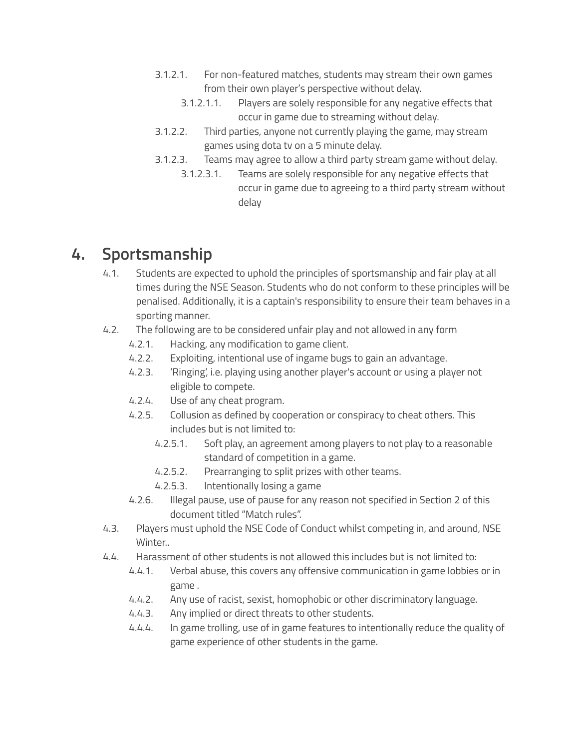- 3.1.2.1. For non-featured matches, students may stream their own games from their own player's perspective without delay.
	- 3.1.2.1.1. Players are solely responsible for any negative effects that occur in game due to streaming without delay.
- 3.1.2.2. Third parties, anyone not currently playing the game, may stream games using dota tv on a 5 minute delay.
- 3.1.2.3. Teams may agree to allow a third party stream game without delay.
	- 3.1.2.3.1. Teams are solely responsible for any negative effects that occur in game due to agreeing to a third party stream without delay

# <span id="page-5-0"></span>**4. Sportsmanship**

- 4.1. Students are expected to uphold the principles of sportsmanship and fair play at all times during the NSE Season. Students who do not conform to these principles will be penalised. Additionally, it is a captain's responsibility to ensure their team behaves in a sporting manner.
- 4.2. The following are to be considered unfair play and not allowed in any form
	- 4.2.1. Hacking, any modification to game client.
	- 4.2.2. Exploiting, intentional use of ingame bugs to gain an advantage.
	- 4.2.3. 'Ringing', i.e. playing using another player's account or using a player not eligible to compete.
	- 4.2.4. Use of any cheat program.
	- 4.2.5. Collusion as defined by cooperation or conspiracy to cheat others. This includes but is not limited to:
		- 4.2.5.1. Soft play, an agreement among players to not play to a reasonable standard of competition in a game.
		- 4.2.5.2. Prearranging to split prizes with other teams.
		- 4.2.5.3. Intentionally losing a game
	- 4.2.6. Illegal pause, use of pause for any reason not specified in Section 2 of this document titled "Match rules".
- 4.3. Players must uphold the NSE Code of Conduct whilst competing in, and around, NSE Winter..
- 4.4. Harassment of other students is not allowed this includes but is not limited to:
	- 4.4.1. Verbal abuse, this covers any offensive communication in game lobbies or in game .
	- 4.4.2. Any use of racist, sexist, homophobic or other discriminatory language.
	- 4.4.3. Any implied or direct threats to other students.
	- 4.4.4. In game trolling, use of in game features to intentionally reduce the quality of game experience of other students in the game.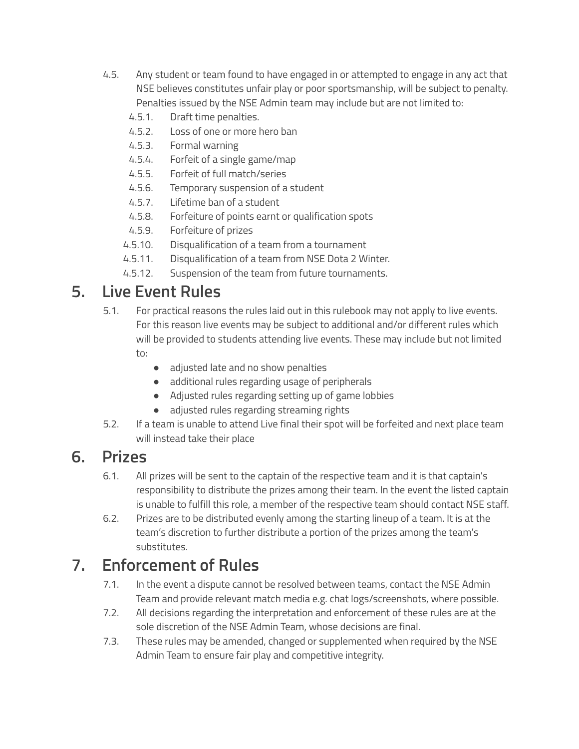- 4.5. Any student or team found to have engaged in or attempted to engage in any act that NSE believes constitutes unfair play or poor sportsmanship, will be subject to penalty. Penalties issued by the NSE Admin team may include but are not limited to:
	- 4.5.1. Draft time penalties.
	- 4.5.2. Loss of one or more hero ban
	- 4.5.3. Formal warning
	- 4.5.4. Forfeit of a single game/map
	- 4.5.5. Forfeit of full match/series
	- 4.5.6. Temporary suspension of a student
	- 4.5.7. Lifetime ban of a student
	- 4.5.8. Forfeiture of points earnt or qualification spots
	- 4.5.9. Forfeiture of prizes
	- 4.5.10. Disqualification of a team from a tournament
	- 4.5.11. Disqualification of a team from NSE Dota 2 Winter.
	- 4.5.12. Suspension of the team from future tournaments.

# <span id="page-6-0"></span>**5. Live Event Rules**

- 5.1. For practical reasons the rules laid out in this rulebook may not apply to live events. For this reason live events may be subject to additional and/or different rules which will be provided to students attending live events. These may include but not limited to:
	- adjusted late and no show penalties
	- additional rules regarding usage of peripherals
	- Adjusted rules regarding setting up of game lobbies
	- adjusted rules regarding streaming rights
- 5.2. If a team is unable to attend Live final their spot will be forfeited and next place team will instead take their place

## <span id="page-6-1"></span>**6. Prizes**

- 6.1. All prizes will be sent to the captain of the respective team and it is that captain's responsibility to distribute the prizes among their team. In the event the listed captain is unable to fulfill this role, a member of the respective team should contact NSE staff.
- 6.2. Prizes are to be distributed evenly among the starting lineup of a team. It is at the team's discretion to further distribute a portion of the prizes among the team's substitutes.

# <span id="page-6-2"></span>**7. Enforcement of Rules**

- 7.1. In the event a dispute cannot be resolved between teams, contact the NSE Admin Team and provide relevant match media e.g. chat logs/screenshots, where possible.
- 7.2. All decisions regarding the interpretation and enforcement of these rules are at the sole discretion of the NSE Admin Team, whose decisions are final.
- 7.3. These rules may be amended, changed or supplemented when required by the NSE Admin Team to ensure fair play and competitive integrity.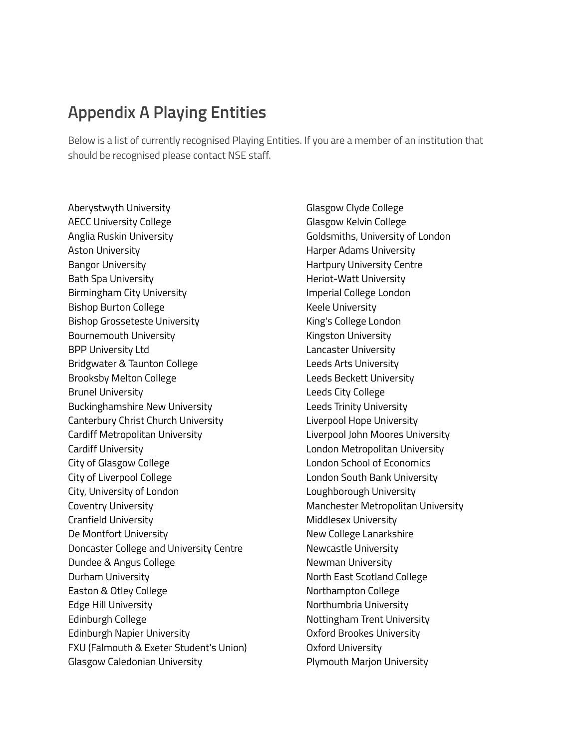## **Appendix A Playing Entities**

Below is a list of currently recognised Playing Entities. If you are a member of an institution that should be recognised please contact NSE staff.

Aberystwyth University AECC University College Anglia Ruskin University Aston University Bangor University Bath Spa University Birmingham City University Bishop Burton College Bishop Grosseteste University Bournemouth University BPP University Ltd Bridgwater & Taunton College Brooksby Melton College Brunel University Buckinghamshire New University Canterbury Christ Church University Cardiff Metropolitan University Cardiff University City of Glasgow College City of Liverpool College City, University of London Coventry University Cranfield University De Montfort University Doncaster College and University Centre Dundee & Angus College Durham University Easton & Otley College Edge Hill University Edinburgh College Edinburgh Napier University FXU (Falmouth & Exeter Student's Union) Glasgow Caledonian University

Glasgow Clyde College Glasgow Kelvin College Goldsmiths, University of London Harper Adams University Hartpury University Centre Heriot-Watt University Imperial College London Keele University King's College London Kingston University Lancaster University Leeds Arts University Leeds Beckett University Leeds City College Leeds Trinity University Liverpool Hope University Liverpool John Moores University London Metropolitan University London School of Economics London South Bank University Loughborough University Manchester Metropolitan University Middlesex University New College Lanarkshire Newcastle University Newman University North East Scotland College Northampton College Northumbria University Nottingham Trent University Oxford Brookes University Oxford University Plymouth Marjon University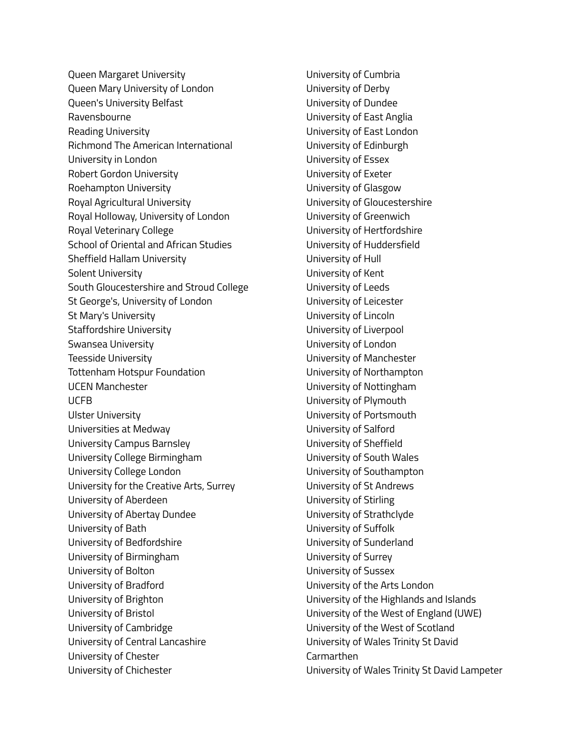Queen Margaret University Queen Mary University of London Queen's University Belfast Ravensbourne Reading University Richmond The American International University in London Robert Gordon University Roehampton University Royal Agricultural University Royal Holloway, University of London Royal Veterinary College School of Oriental and African Studies Sheffield Hallam University Solent University South Gloucestershire and Stroud College St George's, University of London St Mary's University Staffordshire University Swansea University Teesside University Tottenham Hotspur Foundation UCEN Manchester UCFB Ulster University Universities at Medway University Campus Barnsley University College Birmingham University College London University for the Creative Arts, Surrey University of Aberdeen University of Abertay Dundee University of Bath University of Bedfordshire University of Birmingham University of Bolton University of Bradford University of Brighton University of Bristol University of Cambridge University of Central Lancashire University of Chester University of Chichester

University of Cumbria University of Derby University of Dundee University of East Anglia University of East London University of Edinburgh University of Essex University of Exeter University of Glasgow University of Gloucestershire University of Greenwich University of Hertfordshire University of Huddersfield University of Hull University of Kent University of Leeds University of Leicester University of Lincoln University of Liverpool University of London University of Manchester University of Northampton University of Nottingham University of Plymouth University of Portsmouth University of Salford University of Sheffield University of South Wales University of Southampton University of St Andrews University of Stirling University of Strathclyde University of Suffolk University of Sunderland University of Surrey University of Sussex University of the Arts London University of the Highlands and Islands University of the West of England (UWE) University of the West of Scotland University of Wales Trinity St David **Carmarthen** University of Wales Trinity St David Lampeter